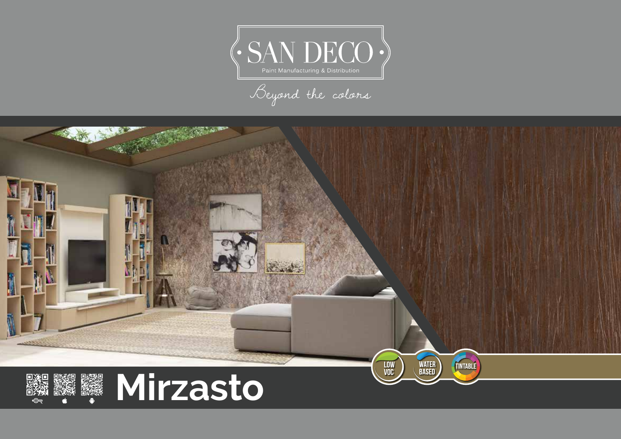

Beyond the colors

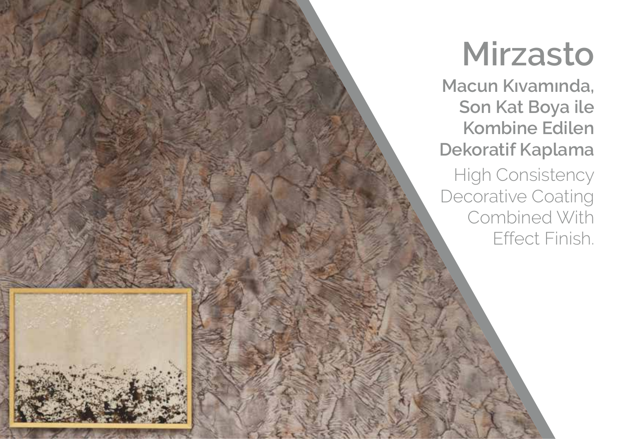**Macun Kıvamında, Son Kat Boya ile Kombine Edilen Dekoratif Kaplama**

High Consistency Decorative Coating Combined With Effect Finish.

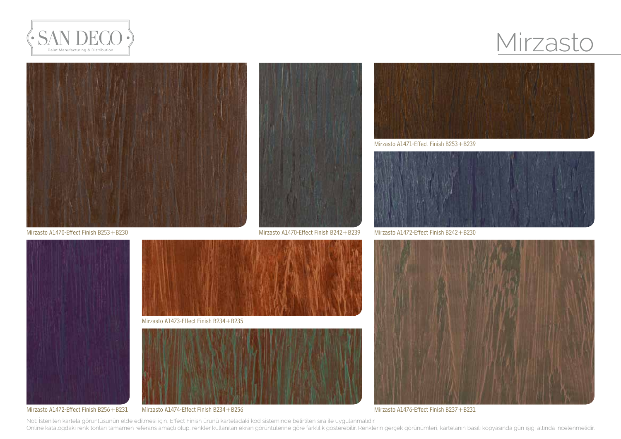



Mirzasto A1470-Effect Finish B253+B230 Mirzasto A1470-Effect Finish B242+B239







#### Mirzasto A1472-Effect Finish B256+B231





Mirzasto A1471-Effect Finish B253+B239



Mirzasto A1472-Effect Finish B242+B230



Mirzasto A1474-Effect Finish B234+B256 Mirzasto A1476-Effect Finish B237+B231

Not: İstenilen kartela görüntüsünün elde edilmesi için, Effect Finish ürünü karteladaki kod sisteminde belirtilen sıra ile uygulanmalıdır. Online katalogdaki renk tonları tamamen referans amaçlı olup, renkler kullanılan ekran görüntülerine göre farklılık gösterebilir. Renklerin gerçek görünümleri, kartelanın basılı kopyasında gün ışığı altında incelenmelidir.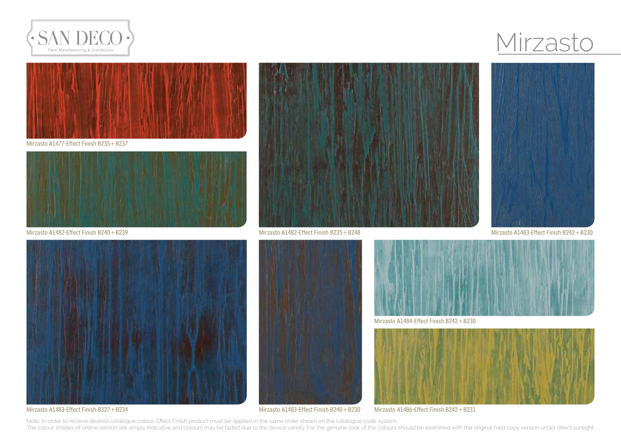



Mirzasto A1477-Effect Finish B235+B237



Mirzasto A1482-Effect Finish B240+B239



Mirzasto A1482-Effect Finish B235+B248 Mirzasto A1483-Effect Finish B242+B230





Mirzasto A1483-Effect Finish B327+B234





Mirzasto A1484-Effect Finish B242+B230



Mirzasto A1486-Effect Finish B242+B231

Note: In order to receive desired catalogue colour, Effect Finish product must be applied in the same order shown on the catalogue code system. The colour shades of online version are simply indicative and colours may be faded due to the device variety. For the genuine look of the colours should be examined with the original hard copy version under direct sunlight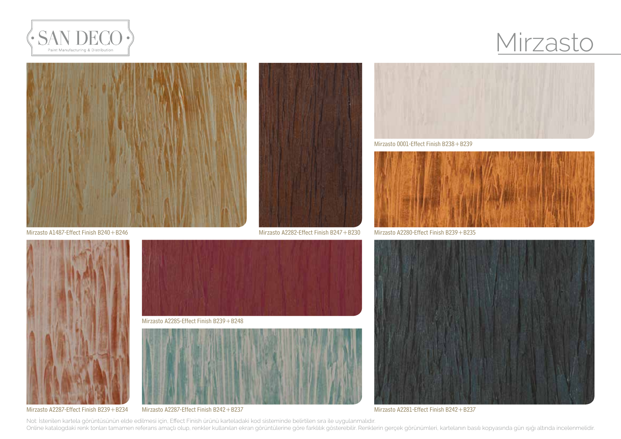





Mirzasto A2285-Effect Finish B239+B248



Mirzasto A2287-Effect Finish B239+B234





Mirzasto 0001-Effect Finish B238+B239



Mirzasto A2280-Effect Finish B239+B235



Mirzasto A2287-Effect Finish B242+B237 Mirzasto A2281-Effect Finish B242+B237

Not: İstenilen kartela görüntüsünün elde edilmesi için, Effect Finish ürünü karteladaki kod sisteminde belirtilen sıra ile uygulanmalıdır. Online katalogdaki renk tonları tamamen referans amaçlı olup, renkler kullanılan ekran görüntülerine göre farklılık gösterebilir. Renklerin gerçek görünümleri, kartelanın basılı kopyasında gün ışığı altında incelenmelidir.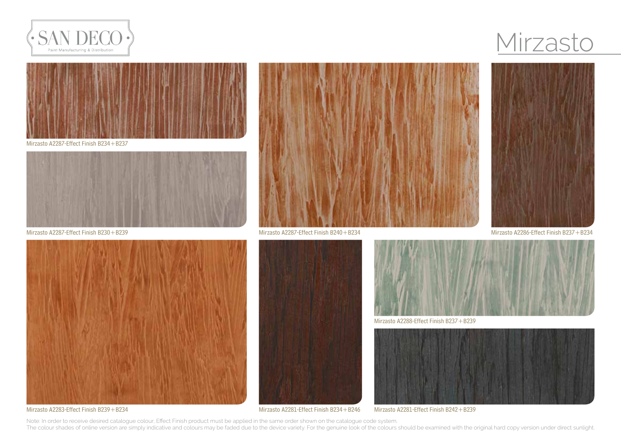



Mirzasto A2287-Effect Finish B234+B237



Mirzasto A2287-Effect Finish B230+B239







Mirzasto A2283-Effect Finish B239+B234





Mirzasto A2288-Effect Finish B237+B239



Mirzasto A2281-Effect Finish B242+B239

Note: In order to receive desired catalogue colour, Effect Finish product must be applied in the same order shown on the catalogue code system. The colour shades of online version are simply indicative and colours may be faded due to the device variety. For the genuine look of the colours should be examined with the original hard copy version under direct sunlight